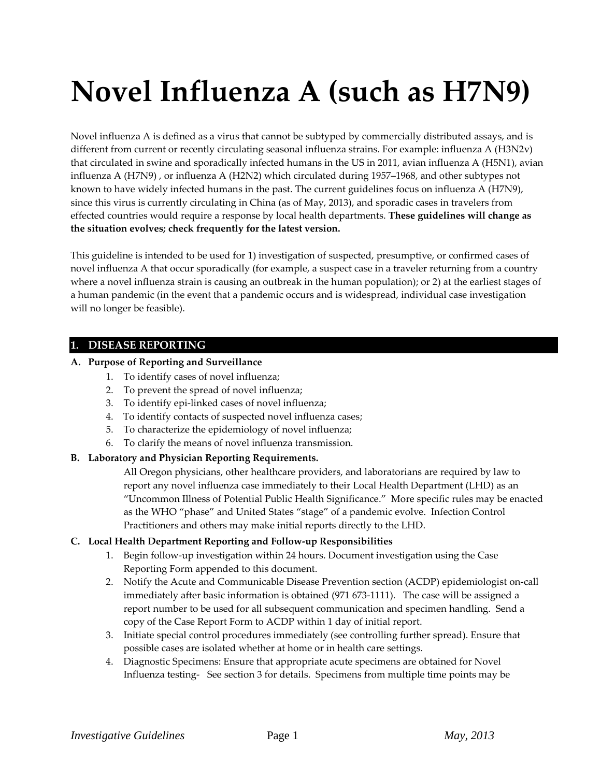# **Novel Influenza A (such as H7N9)**

Novel influenza A is defined as a virus that cannot be subtyped by commercially distributed assays, and is different from current or recently circulating seasonal influenza strains. For example: influenza A (H3N2v) that circulated in swine and sporadically infected humans in the US in 2011, avian influenza A (H5N1), avian influenza A (H7N9) , or influenza A (H2N2) which circulated during 1957–1968, and other subtypes not known to have widely infected humans in the past. The current guidelines focus on influenza A (H7N9), since this virus is currently circulating in China (as of May, 2013), and sporadic cases in travelers from effected countries would require a response by local health departments. **These guidelines will change as the situation evolves; check frequently for the latest version.**

This guideline is intended to be used for 1) investigation of suspected, presumptive, or confirmed cases of novel influenza A that occur sporadically (for example, a suspect case in a traveler returning from a country where a novel influenza strain is causing an outbreak in the human population); or 2) at the earliest stages of a human pandemic (in the event that a pandemic occurs and is widespread, individual case investigation will no longer be feasible).

# **1. DISEASE REPORTING**

# **A. Purpose of Reporting and Surveillance**

- 1. To identify cases of novel influenza;
- 2. To prevent the spread of novel influenza;
- 3. To identify epi-linked cases of novel influenza;
- 4. To identify contacts of suspected novel influenza cases;
- 5. To characterize the epidemiology of novel influenza;
- 6. To clarify the means of novel influenza transmission.

# **B. Laboratory and Physician Reporting Requirements.**

All Oregon physicians, other healthcare providers, and laboratorians are required by law to report any novel influenza case immediately to their Local Health Department (LHD) as an "Uncommon Illness of Potential Public Health Significance." More specific rules may be enacted as the WHO "phase" and United States "stage" of a pandemic evolve. Infection Control Practitioners and others may make initial reports directly to the LHD.

# **C. Local Health Department Reporting and Follow-up Responsibilities**

- 1. Begin follow-up investigation within 24 hours. Document investigation using the Case Reporting Form appended to this document.
- 2. Notify the Acute and Communicable Disease Prevention section (ACDP) epidemiologist on-call immediately after basic information is obtained (971 673-1111). The case will be assigned a report number to be used for all subsequent communication and specimen handling. Send a copy of the Case Report Form to ACDP within 1 day of initial report.
- 3. Initiate special control procedures immediately (see controlling further spread). Ensure that possible cases are isolated whether at home or in health care settings.
- 4. Diagnostic Specimens: Ensure that appropriate acute specimens are obtained for Novel Influenza testing- See section 3 for details. Specimens from multiple time points may be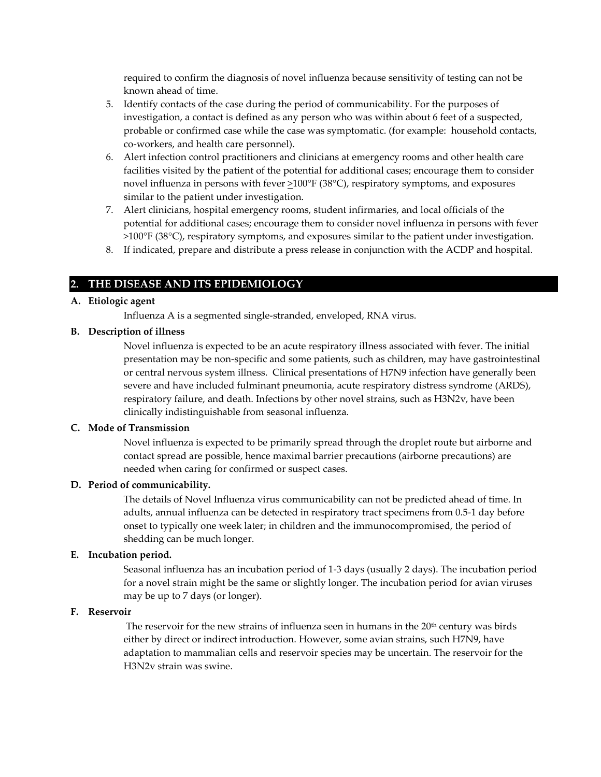required to confirm the diagnosis of novel influenza because sensitivity of testing can not be known ahead of time.

- 5. Identify contacts of the case during the period of communicability. For the purposes of investigation, a contact is defined as any person who was within about 6 feet of a suspected, probable or confirmed case while the case was symptomatic. (for example: household contacts, co-workers, and health care personnel).
- 6. Alert infection control practitioners and clinicians at emergency rooms and other health care facilities visited by the patient of the potential for additional cases; encourage them to consider novel influenza in persons with fever  $\geq 100^{\circ}$  F (38°C), respiratory symptoms, and exposures similar to the patient under investigation.
- 7. Alert clinicians, hospital emergency rooms, student infirmaries, and local officials of the potential for additional cases; encourage them to consider novel influenza in persons with fever >100°F (38°C), respiratory symptoms, and exposures similar to the patient under investigation.
- 8. If indicated, prepare and distribute a press release in conjunction with the ACDP and hospital.

## **2. THE DISEASE AND ITS EPIDEMIOLOGY**

### **A. Etiologic agent**

Influenza A is a segmented single-stranded, enveloped, RNA virus.

#### **B. Description of illness**

Novel influenza is expected to be an acute respiratory illness associated with fever. The initial presentation may be non-specific and some patients, such as children, may have gastrointestinal or central nervous system illness. Clinical presentations of H7N9 infection have generally been severe and have included fulminant pneumonia, acute respiratory distress syndrome (ARDS), respiratory failure, and death. Infections by other novel strains, such as H3N2v, have been clinically indistinguishable from seasonal influenza.

#### **C. Mode of Transmission**

Novel influenza is expected to be primarily spread through the droplet route but airborne and contact spread are possible, hence maximal barrier precautions (airborne precautions) are needed when caring for confirmed or suspect cases.

## **D. Period of communicability.**

The details of Novel Influenza virus communicability can not be predicted ahead of time. In adults, annual influenza can be detected in respiratory tract specimens from 0.5-1 day before onset to typically one week later; in children and the immunocompromised, the period of shedding can be much longer.

### **E. Incubation period.**

Seasonal influenza has an incubation period of 1-3 days (usually 2 days). The incubation period for a novel strain might be the same or slightly longer. The incubation period for avian viruses may be up to 7 days (or longer).

#### **F. Reservoir**

The reservoir for the new strains of influenza seen in humans in the 20<sup>th</sup> century was birds either by direct or indirect introduction. However, some avian strains, such H7N9, have adaptation to mammalian cells and reservoir species may be uncertain. The reservoir for the H3N2v strain was swine.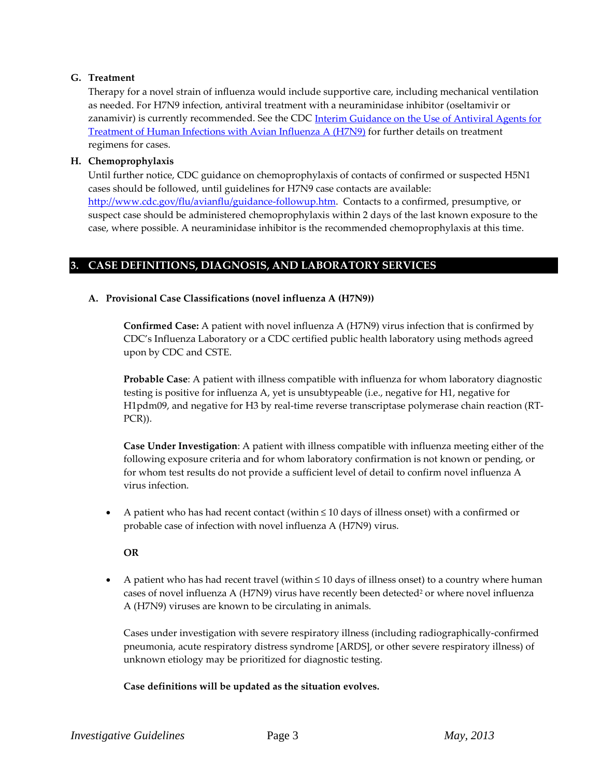# **G. Treatment**

Therapy for a novel strain of influenza would include supportive care, including mechanical ventilation as needed. For H7N9 infection, antiviral treatment with a neuraminidase inhibitor (oseltamivir or zanamivir) is currently recommended. See the CDC Interim Guidance on the Use of Antiviral Agents for [Treatment of Human Infections with Avian Influenza A \(H7N9\)](http://www.cdc.gov/flu/avianflu/h7n9-antiviral-treatment.htm) for further details on treatment regimens for cases.

# **H. Chemoprophylaxis**

Until further notice, CDC guidance on chemoprophylaxis of contacts of confirmed or suspected H5N1 cases should be followed, until guidelines for H7N9 case contacts are available: [http://www.cdc.gov/flu/avianflu/guidance-followup.htm.](http://www.cdc.gov/flu/avianflu/guidance-followup.htm) Contacts to a confirmed, presumptive, or suspect case should be administered chemoprophylaxis within 2 days of the last known exposure to the case, where possible. A neuraminidase inhibitor is the recommended chemoprophylaxis at this time.

# **3. CASE DEFINITIONS, DIAGNOSIS, AND LABORATORY SERVICES**

# **A. Provisional Case Classifications (novel influenza A (H7N9))**

**Confirmed Case:** A patient with novel influenza A (H7N9) virus infection that is confirmed by CDC's Influenza Laboratory or a CDC certified public health laboratory using methods agreed upon by CDC and CSTE.

**Probable Case**: A patient with illness compatible with influenza for whom laboratory diagnostic testing is positive for influenza A, yet is unsubtypeable (i.e., negative for H1, negative for H1pdm09, and negative for H3 by real-time reverse transcriptase polymerase chain reaction (RT-PCR)).

**Case Under Investigation**: A patient with illness compatible with influenza meeting either of the following exposure criteria and for whom laboratory confirmation is not known or pending, or for whom test results do not provide a sufficient level of detail to confirm novel influenza A virus infection.

• A patient who has had recent contact (within ≤ 10 days of illness onset) with a confirmed or probable case of infection with novel influenza A (H7N9) virus.

**OR**

• A patient who has had recent travel (within  $\leq 10$  days of illness onset) to a country where human cases of novel influenza A (H7N9) virus have recently been detected<sup>2</sup> or where novel influenza A (H7N9) viruses are known to be circulating in animals.

Cases under investigation with severe respiratory illness (including radiographically-confirmed pneumonia, acute respiratory distress syndrome [ARDS], or other severe respiratory illness) of unknown etiology may be prioritized for diagnostic testing.

# **Case definitions will be updated as the situation evolves.**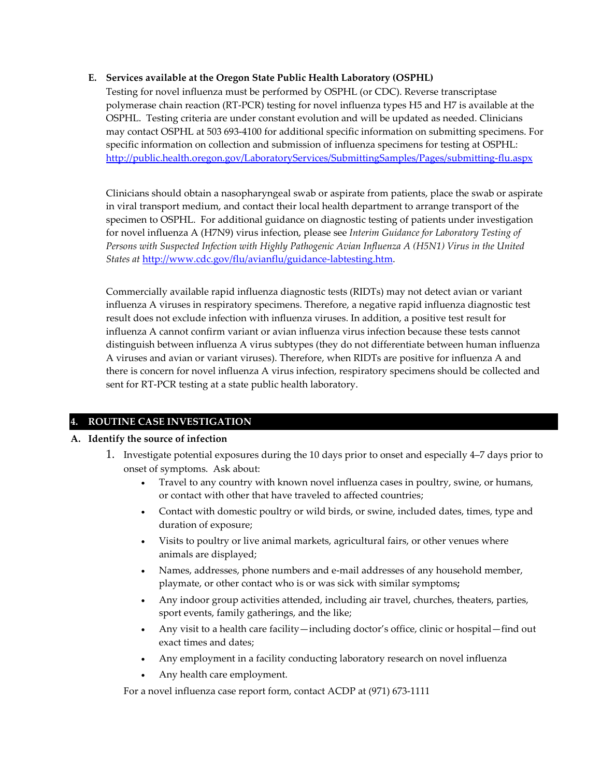# **E. Services available at the Oregon State Public Health Laboratory (OSPHL)**

Testing for novel influenza must be performed by OSPHL (or CDC). Reverse transcriptase polymerase chain reaction (RT-PCR) testing for novel influenza types H5 and H7 is available at the OSPHL. Testing criteria are under constant evolution and will be updated as needed. Clinicians may contact OSPHL at 503 693-4100 for additional specific information on submitting specimens. For specific information on collection and submission of influenza specimens for testing at OSPHL: <http://public.health.oregon.gov/LaboratoryServices/SubmittingSamples/Pages/submitting-flu.aspx>

Clinicians should obtain a nasopharyngeal swab or aspirate from patients, place the swab or aspirate in viral transport medium, and contact their local health department to arrange transport of the specimen to OSPHL. For additional guidance on diagnostic testing of patients under investigation for novel influenza A (H7N9) virus infection, please see *Interim Guidance for Laboratory Testing of Persons with Suspected Infection with Highly Pathogenic Avian Influenza A (H5N1) Virus in the United States at* [http://www.cdc.gov/flu/avianflu/guidance-labtesting.htm.](http://www.cdc.gov/flu/avianflu/guidance-labtesting.htm)

Commercially available rapid influenza diagnostic tests (RIDTs) may not detect avian or variant influenza A viruses in respiratory specimens. Therefore, a negative rapid influenza diagnostic test result does not exclude infection with influenza viruses. In addition, a positive test result for influenza A cannot confirm variant or avian influenza virus infection because these tests cannot distinguish between influenza A virus subtypes (they do not differentiate between human influenza A viruses and avian or variant viruses). Therefore, when RIDTs are positive for influenza A and there is concern for novel influenza A virus infection, respiratory specimens should be collected and sent for RT-PCR testing at a state public health laboratory.

# **4. ROUTINE CASE INVESTIGATION**

# **A. Identify the source of infection**

- 1. Investigate potential exposures during the 10 days prior to onset and especially 4–7 days prior to onset of symptoms. Ask about:
	- Travel to any country with known novel influenza cases in poultry, swine, or humans, or contact with other that have traveled to affected countries;
	- Contact with domestic poultry or wild birds, or swine, included dates, times, type and duration of exposure;
	- Visits to poultry or live animal markets, agricultural fairs, or other venues where animals are displayed;
	- Names, addresses, phone numbers and e-mail addresses of any household member, playmate, or other contact who is or was sick with similar symptoms**;**
	- Any indoor group activities attended, including air travel, churches, theaters, parties, sport events, family gatherings, and the like;
	- Any visit to a health care facility—including doctor's office, clinic or hospital—find out exact times and dates;
	- Any employment in a facility conducting laboratory research on novel influenza
	- Any health care employment.

For a novel influenza case report form, contact ACDP at (971) 673-1111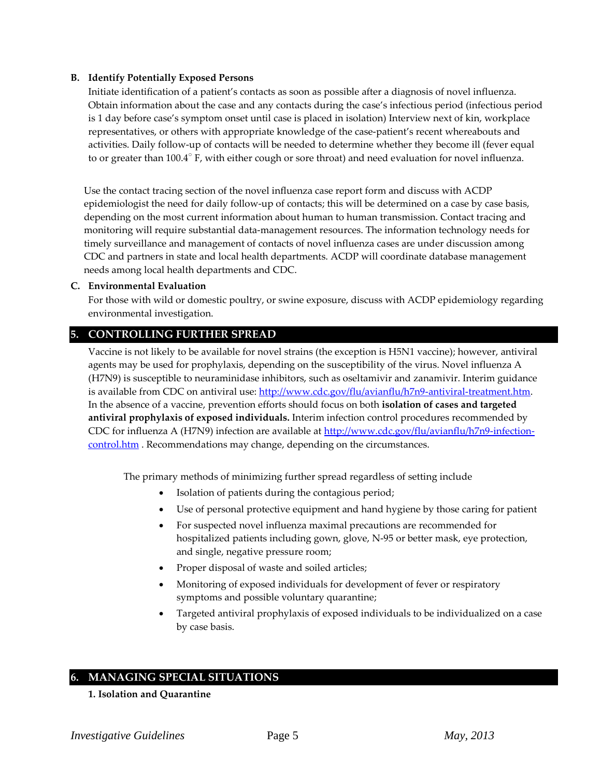# **B. Identify Potentially Exposed Persons**

Initiate identification of a patient's contacts as soon as possible after a diagnosis of novel influenza. Obtain information about the case and any contacts during the case's infectious period (infectious period is 1 day before case's symptom onset until case is placed in isolation) Interview next of kin, workplace representatives, or others with appropriate knowledge of the case-patient's recent whereabouts and activities. Daily follow-up of contacts will be needed to determine whether they become ill (fever equal to or greater than  $100.4^{\circ}$  F, with either cough or sore throat) and need evaluation for novel influenza.

Use the contact tracing section of the novel influenza case report form and discuss with ACDP epidemiologist the need for daily follow-up of contacts; this will be determined on a case by case basis, depending on the most current information about human to human transmission. Contact tracing and monitoring will require substantial data-management resources. The information technology needs for timely surveillance and management of contacts of novel influenza cases are under discussion among CDC and partners in state and local health departments. ACDP will coordinate database management needs among local health departments and CDC.

#### **C. Environmental Evaluation**

For those with wild or domestic poultry, or swine exposure, discuss with ACDP epidemiology regarding environmental investigation.

# **5. CONTROLLING FURTHER SPREAD**

Vaccine is not likely to be available for novel strains (the exception is H5N1 vaccine); however, antiviral agents may be used for prophylaxis, depending on the susceptibility of the virus. Novel influenza A (H7N9) is susceptible to neuraminidase inhibitors, such as oseltamivir and zanamivir. Interim guidance is available from CDC on antiviral use: [http://www.cdc.gov/flu/avianflu/h7n9-antiviral-treatment.htm.](http://www.cdc.gov/flu/avianflu/h7n9-antiviral-treatment.htm) In the absence of a vaccine, prevention efforts should focus on both **isolation of cases and targeted antiviral prophylaxis of exposed individuals.** Interim infection control procedures recommended by CDC for influenza A (H7N9) infection are available at [http://www.cdc.gov/flu/avianflu/h7n9-infection](http://www.cdc.gov/flu/avianflu/h7n9-infection-control.htm)[control.htm](http://www.cdc.gov/flu/avianflu/h7n9-infection-control.htm) . Recommendations may change, depending on the circumstances.

The primary methods of minimizing further spread regardless of setting include

- Isolation of patients during the contagious period;
- Use of personal protective equipment and hand hygiene by those caring for patient
- For suspected novel influenza maximal precautions are recommended for hospitalized patients including gown, glove, N-95 or better mask, eye protection, and single, negative pressure room;
- Proper disposal of waste and soiled articles;
- Monitoring of exposed individuals for development of fever or respiratory symptoms and possible voluntary quarantine;
- Targeted antiviral prophylaxis of exposed individuals to be individualized on a case by case basis.

# **6. MANAGING SPECIAL SITUATIONS**

**1. Isolation and Quarantine**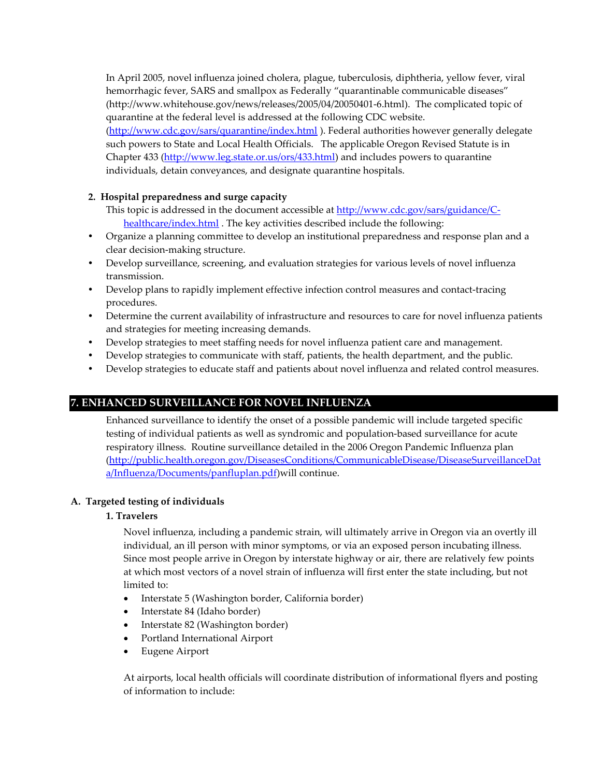In April 2005, novel influenza joined cholera, plague, tuberculosis, diphtheria, yellow fever, viral hemorrhagic fever, SARS and smallpox as Federally "quarantinable communicable diseases" (http://www.whitehouse.gov/news/releases/2005/04/20050401-6.html). The complicated topic of quarantine at the federal level is addressed at the following CDC website. [\(http://www.cdc.gov/sars/quarantine/index.html](http://www.cdc.gov/ncidod/sars/quarantine.htm) ). Federal authorities however generally delegate such powers to State and Local Health Officials. The applicable Oregon Revised Statute is in Chapter 433 [\(http://www.leg.state.or.us/ors/433.html\)](http://www.leg.state.or.us/ors/433.html) and includes powers to quarantine individuals, detain conveyances, and designate quarantine hospitals.

# **2. Hospital preparedness and surge capacity**

- This topic is addressed in the document accessible at [http://www.cdc.gov/sars/guidance/C](http://www.cdc.gov/sars/guidance/C-healthcare/index.html)[healthcare/index.html](http://www.cdc.gov/sars/guidance/C-healthcare/index.html). The key activities described include the following:
- Organize a planning committee to develop an institutional preparedness and response plan and a clear decision-making structure.
- Develop surveillance, screening, and evaluation strategies for various levels of novel influenza transmission.
- Develop plans to rapidly implement effective infection control measures and contact-tracing procedures.
- Determine the current availability of infrastructure and resources to care for novel influenza patients and strategies for meeting increasing demands.
- Develop strategies to meet staffing needs for novel influenza patient care and management.
- Develop strategies to communicate with staff, patients, the health department, and the public.
- Develop strategies to educate staff and patients about novel influenza and related control measures.

# **7. ENHANCED SURVEILLANCE FOR NOVEL INFLUENZA**

Enhanced surveillance to identify the onset of a possible pandemic will include targeted specific testing of individual patients as well as syndromic and population-based surveillance for acute respiratory illness. Routine surveillance detailed in the 2006 Oregon Pandemic Influenza plan [\(http://public.health.oregon.gov/DiseasesConditions/CommunicableDisease/DiseaseSurveillanceDat](http://public.health.oregon.gov/DiseasesConditions/CommunicableDisease/DiseaseSurveillanceData/Influenza/Documents/panfluplan.pdf) [a/Influenza/Documents/panfluplan.pdf\)](http://public.health.oregon.gov/DiseasesConditions/CommunicableDisease/DiseaseSurveillanceData/Influenza/Documents/panfluplan.pdf) will continue.

# **A. Targeted testing of individuals**

# **1. Travelers**

Novel influenza, including a pandemic strain, will ultimately arrive in Oregon via an overtly ill individual, an ill person with minor symptoms, or via an exposed person incubating illness. Since most people arrive in Oregon by interstate highway or air, there are relatively few points at which most vectors of a novel strain of influenza will first enter the state including, but not limited to:

- Interstate 5 (Washington border, California border)
- Interstate 84 (Idaho border)
- Interstate 82 (Washington border)
- Portland International Airport
- Eugene Airport

At airports, local health officials will coordinate distribution of informational flyers and posting of information to include: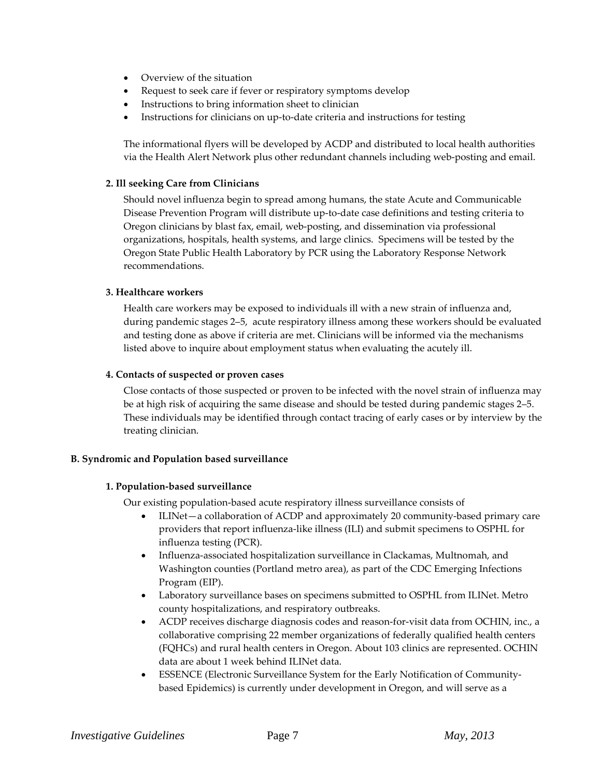- Overview of the situation
- Request to seek care if fever or respiratory symptoms develop
- Instructions to bring information sheet to clinician
- Instructions for clinicians on up-to-date criteria and instructions for testing

The informational flyers will be developed by ACDP and distributed to local health authorities via the Health Alert Network plus other redundant channels including web-posting and email.

## **2. Ill seeking Care from Clinicians**

Should novel influenza begin to spread among humans, the state Acute and Communicable Disease Prevention Program will distribute up-to-date case definitions and testing criteria to Oregon clinicians by blast fax, email, web-posting, and dissemination via professional organizations, hospitals, health systems, and large clinics. Specimens will be tested by the Oregon State Public Health Laboratory by PCR using the Laboratory Response Network recommendations.

#### **3. Healthcare workers**

Health care workers may be exposed to individuals ill with a new strain of influenza and, during pandemic stages 2–5, acute respiratory illness among these workers should be evaluated and testing done as above if criteria are met. Clinicians will be informed via the mechanisms listed above to inquire about employment status when evaluating the acutely ill.

#### **4. Contacts of suspected or proven cases**

Close contacts of those suspected or proven to be infected with the novel strain of influenza may be at high risk of acquiring the same disease and should be tested during pandemic stages 2–5. These individuals may be identified through contact tracing of early cases or by interview by the treating clinician.

# **B. Syndromic and Population based surveillance**

#### **1. Population-based surveillance**

Our existing population-based acute respiratory illness surveillance consists of

- ILINet—a collaboration of ACDP and approximately 20 community-based primary care providers that report influenza-like illness (ILI) and submit specimens to OSPHL for influenza testing (PCR).
- Influenza-associated hospitalization surveillance in Clackamas, Multnomah, and Washington counties (Portland metro area), as part of the CDC Emerging Infections Program (EIP).
- Laboratory surveillance bases on specimens submitted to OSPHL from ILINet. Metro county hospitalizations, and respiratory outbreaks.
- ACDP receives discharge diagnosis codes and reason-for-visit data from OCHIN, inc., a collaborative comprising 22 member organizations of federally qualified health centers (FQHCs) and rural health centers in Oregon. About 103 clinics are represented. OCHIN data are about 1 week behind ILINet data.
- ESSENCE (Electronic Surveillance System for the Early Notification of Communitybased Epidemics) is currently under development in Oregon, and will serve as a